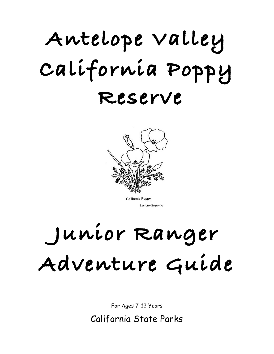# **Antelope Valley California Poppy Reserve**



California Poppy Leticia Bostain

# **Junior Ranger Adventure Guide**

For Ages 7-12 Years

California State Parks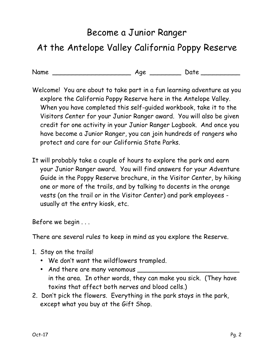## Become a Junior Ranger At the Antelope Valley California Poppy Reserve

Name \_\_\_\_\_\_\_\_\_\_\_\_\_\_\_\_\_\_\_\_ Age \_\_\_\_\_\_\_\_ Date \_\_\_\_\_\_\_\_\_\_

- Welcome! You are about to take part in a fun learning adventure as you explore the California Poppy Reserve here in the Antelope Valley. When you have completed this self-guided workbook, take it to the Visitors Center for your Junior Ranger award. You will also be given credit for one activity in your Junior Ranger Logbook. And once you have become a Junior Ranger, you can join hundreds of rangers who protect and care for our California State Parks.
- It will probably take a couple of hours to explore the park and earn your Junior Ranger award. You will find answers for your Adventure Guide in the Poppy Reserve brochure, in the Visitor Center, by hiking one or more of the trails, and by talking to docents in the orange vests (on the trail or in the Visitor Center) and park employees usually at the entry kiosk, etc.

Before we begin . . .

There are several rules to keep in mind as you explore the Reserve.

- 1. Stay on the trails!
	- We don't want the wildflowers trampled.
	- And there are many venomous \_\_\_\_\_\_\_\_\_\_\_\_\_\_\_\_\_\_\_\_\_\_\_\_\_\_ in the area. In other words, they can make you sick. (They have toxins that affect both nerves and blood cells.)
- 2. Don't pick the flowers. Everything in the park stays in the park, except what you buy at the Gift Shop.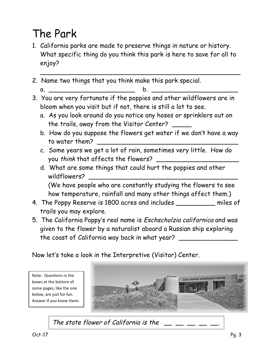# The Park

1. California parks are made to preserve things in nature or history. What specific thing do you think this park is here to save for all to enjoy?

\_\_\_\_\_\_\_\_\_\_\_\_\_\_\_\_\_\_\_\_\_\_\_\_\_\_\_\_\_\_\_\_\_\_\_\_\_\_\_\_\_\_\_\_\_\_\_\_\_\_\_

- 2. Name two things that you think make this park special.
- a. \_\_\_\_\_\_\_\_\_\_\_\_\_\_\_\_\_\_\_\_\_\_ b. \_\_\_\_\_\_\_\_\_\_\_\_\_\_\_\_\_\_\_\_\_\_ 3. You are very fortunate if the poppies and other wildflowers are in
	- bloom when you visit but if not, there is still a lot to see.
		- a. As you look around do you notice any hoses or sprinklers out on the trails, away from the Visitor Center?
		- b. How do you suppose the flowers get water if we don't have a way to water them?
		- c. Some years we get a lot of rain, sometimes very little. How do you think that affects the flowers?
		- d. What are some things that could hurt the poppies and other wildflowers?

(We have people who are constantly studying the flowers to see how temperature, rainfall and many other things affect them.)

- 4. The Poppy Reserve is 1800 acres and includes \_\_\_\_\_\_\_\_\_\_ miles of trails you may explore.
- 5. The California Poppy's real name is Eschscholzia californica and was given to the flower by a naturalist aboard a Russian ship exploring the coast of California way back in what year?

Now let's take a look in the Interpretive (Visitor) Center.

Note: Questions in the boxes at the bottom of some pages, like the one below, are just for fun. Answer if you know them.



The state flower of California is the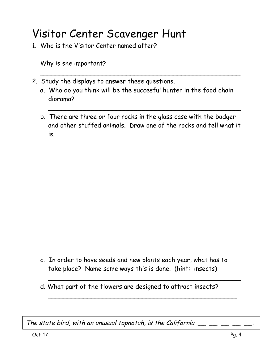### Visitor Center Scavenger Hunt

1. Who is the Visitor Center named after?

Why is she important?

- 2. Study the displays to answer these questions.
	- a. Who do you think will be the succesful hunter in the food chain diorama?

\_\_\_\_\_\_\_\_\_\_\_\_\_\_\_\_\_\_\_\_\_\_\_\_\_\_\_\_\_\_\_\_\_\_\_\_\_\_\_\_\_\_\_\_\_\_\_\_\_\_\_

\_\_\_\_\_\_\_\_\_\_\_\_\_\_\_\_\_\_\_\_\_\_\_\_\_\_\_\_\_\_\_\_\_\_\_\_\_\_\_\_\_\_\_\_\_\_\_\_\_\_\_

b. There are three or four rocks in the glass case with the badger and other stuffed animals. Draw one of the rocks and tell what it is.

\_\_\_\_\_\_\_\_\_\_\_\_\_\_\_\_\_\_\_\_\_\_\_\_\_\_\_\_\_\_\_\_\_\_\_\_\_\_\_\_\_\_\_\_\_\_\_\_\_

c. In order to have seeds and new plants each year, what has to take place? Name some ways this is done. (hint: insects)

\_\_\_\_\_\_\_\_\_\_\_\_\_\_\_\_\_\_\_\_\_\_\_\_\_\_\_\_\_\_\_\_\_\_\_\_\_\_\_\_\_\_\_\_\_\_\_\_\_

\_\_\_\_\_\_\_\_\_\_\_\_\_\_\_\_\_\_\_\_\_\_\_\_\_\_\_\_\_\_\_\_\_\_\_\_\_\_\_\_\_\_\_\_\_\_\_\_

d. What part of the flowers are designed to attract insects?

The state bird, with an unusual topnotch, is the California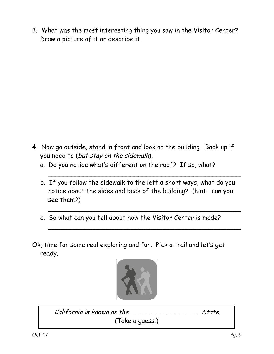3. What was the most interesting thing you saw in the Visitor Center? Draw a picture of it or describe it.

- 4. Now go outside, stand in front and look at the building. Back up if you need to (but stay on the sidewalk).
	- a. Do you notice what's different on the roof? If so, what?
	- b. If you follow the sidewalk to the left a short ways, what do you notice about the sides and back of the building? (hint: can you see them?)

\_\_\_\_\_\_\_\_\_\_\_\_\_\_\_\_\_\_\_\_\_\_\_\_\_\_\_\_\_\_\_\_\_\_\_\_\_\_\_\_\_\_\_\_\_\_\_\_\_

\_\_\_\_\_\_\_\_\_\_\_\_\_\_\_\_\_\_\_\_\_\_\_\_\_\_\_\_\_\_\_\_\_\_\_\_\_\_\_\_\_\_\_\_\_\_\_\_\_

 $\overline{a}$ 

- c. So what can you tell about how the Visitor Center is made?
- Ok, time for some real exploring and fun. Pick a trail and let's get ready.



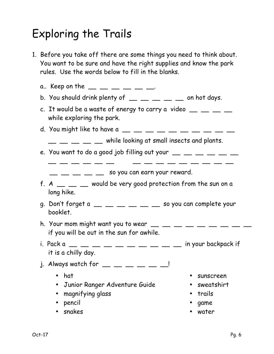# Exploring the Trails

1. Before you take off there are some things you need to think about. You want to be sure and have the right supplies and know the park rules. Use the words below to fill in the blanks.

| a Keep on the __ __ __ __ __ __                                                                                                  |            |
|----------------------------------------------------------------------------------------------------------------------------------|------------|
| b. You should drink plenty of $\_\_\_\_\_\_\_\_\_\_\_\_$ $\_\_\_\_$ on hot days.                                                 |            |
| c. It would be a waste of energy to carry a video $\_\_$ $\_\_$ $\_\_$<br>while exploring the park.                              |            |
| d. You might like to have a $\_\_$ $\_\_$ $\_\_$ $\_\_$ $\_\_$ $\_\_$ $\_\_$                                                     |            |
| $\mathcal{L}$ $\mathcal{L}$ while looking at small insects and plants.                                                           |            |
| e. You want to do a good job filling out your $\_\_$ $\_\_$ $\_\_$ $\_\_$ $\_\_$                                                 |            |
|                                                                                                                                  |            |
| $\hspace{1.5cm} \_\hspace{1.5cm} \_\hspace{1.5cm}$ $\hspace{1.5cm}$ $\hspace{1.5cm}$ so you can earn your reward.                |            |
| f. A $\_\_\_\_\_\_\_\_\_\_\_\$ would be very good protection from the sun on a<br>long hike.                                     |            |
| g. Don't forget a $\_\_$ $\_\_$ $\_\_$ $\_\_$ $\_\_$ $\_\_$ $\_\_$ so you can complete your<br>booklet.                          |            |
| h. Your mom might want you to wear $\_\_$ $\_\_$ $\_\_$ $\_\_$ $\_\_$ $\_\_$ $\_\_$<br>if you will be out in the sun for awhile. |            |
| i. Pack a<br>it is a chilly day.                                                                                                 |            |
| j. Always watch for $\_\_$ $\_\_$ $\_\_$ $\_\_$ $\_\_$                                                                           |            |
| hat                                                                                                                              | sunscreen  |
| Junior Ranger Adventure Guide<br>$\bullet$                                                                                       | sweatshirt |
| magnifying glass                                                                                                                 | trails     |
| pencil                                                                                                                           | game       |
| snakes                                                                                                                           | water      |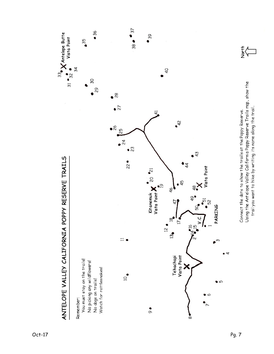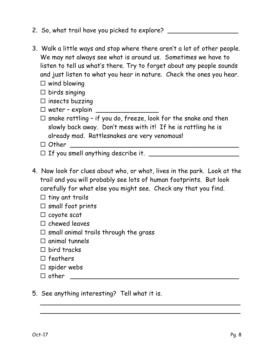- 2. So, what trail have you picked to explore?
- 3. Walk a little ways and stop where there aren't a lot of other people. We may not always see what is around us. Sometimes we have to listen to tell us what's there. Try to forget about any people sounds and just listen to what you hear in nature. Check the ones you hear.
	- $\square$  wind blowing
	- $\square$  birds singing
	- $\square$  insects buzzing
	- $\Box$  water explain  $\Box$
	- $\square$  snake rattling if you do, freeze, look for the snake and then slowly back away. Don't mess with it! If he is rattling he is already mad. Rattlesnakes are very venomous!
	- ¨ Other \_\_\_\_\_\_\_\_\_\_\_\_\_\_\_\_\_\_\_\_\_\_\_\_\_\_\_\_\_\_\_\_\_\_\_\_\_\_\_\_\_\_\_
	- ¨ If you smell anything describe it. \_\_\_\_\_\_\_\_\_\_\_\_\_\_\_\_\_\_\_\_\_\_\_
- 4. Now look for clues about who, or what, lives in the park. Look at the trail and you will probably see lots of human footprints. But look carefully for what else you might see. Check any that you find.

\_\_\_\_\_\_\_\_\_\_\_\_\_\_\_\_\_\_\_\_\_\_\_\_\_\_\_\_\_\_\_\_\_\_\_\_\_\_\_\_\_\_\_\_\_\_\_\_\_\_\_ \_\_\_\_\_\_\_\_\_\_\_\_\_\_\_\_\_\_\_\_\_\_\_\_\_\_\_\_\_\_\_\_\_\_\_\_\_\_\_\_\_\_\_\_\_\_\_\_\_\_\_

- $\square$  tiny ant trails
- $\square$  small foot prints
- $\square$  coyote scat
- $\square$  chewed leaves
- $\square$  small animal trails through the grass
- $\square$  animal tunnels
- $\square$  bird tracks
- $\square$  feathers
- $\square$  spider webs
- ¨ other \_\_\_\_\_\_\_\_\_\_\_\_\_\_\_\_\_\_\_\_\_\_\_\_\_\_\_\_\_\_\_\_\_\_\_\_\_\_\_\_\_\_\_
- 5. See anything interesting? Tell what it is.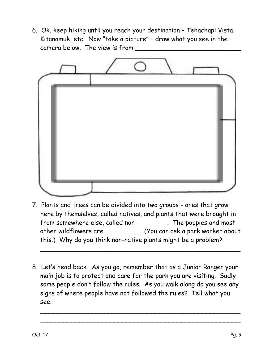6. Ok, keep hiking until you reach your destination – Tehachapi Vista, Kitanamuk, etc. Now "take a picture" – draw what you see in the camera below. The view is from



7. Plants and trees can be divided into two groups - ones that grow here by themselves, called natives, and plants that were brought in from somewhere else, called non- . The poppies and most other wildflowers are \_\_\_\_\_\_\_\_\_ (You can ask a park worker about this.) Why do you think non-native plants might be a problem?

\_\_\_\_\_\_\_\_\_\_\_\_\_\_\_\_\_\_\_\_\_\_\_\_\_\_\_\_\_\_\_\_\_\_\_\_\_\_\_\_\_\_\_\_\_\_\_\_\_\_\_

8. Let's head back. As you go, remember that as a Junior Ranger your main job is to protect and care for the park you are visiting. Sadly some people don't follow the rules. As you walk along do you see any signs of where people have not followed the rules? Tell what you see.

\_\_\_\_\_\_\_\_\_\_\_\_\_\_\_\_\_\_\_\_\_\_\_\_\_\_\_\_\_\_\_\_\_\_\_\_\_\_\_\_\_\_\_\_\_\_\_\_\_\_\_ \_\_\_\_\_\_\_\_\_\_\_\_\_\_\_\_\_\_\_\_\_\_\_\_\_\_\_\_\_\_\_\_\_\_\_\_\_\_\_\_\_\_\_\_\_\_\_\_\_\_\_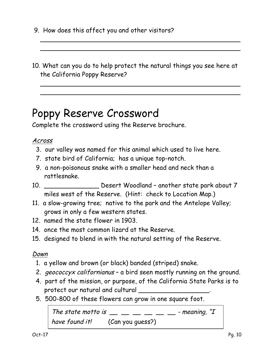- 9. How does this affect you and other visitors?
- 10. What can you do to help protect the natural things you see here at the California Poppy Reserve?

\_\_\_\_\_\_\_\_\_\_\_\_\_\_\_\_\_\_\_\_\_\_\_\_\_\_\_\_\_\_\_\_\_\_\_\_\_\_\_\_\_\_\_\_\_\_\_\_\_\_\_ \_\_\_\_\_\_\_\_\_\_\_\_\_\_\_\_\_\_\_\_\_\_\_\_\_\_\_\_\_\_\_\_\_\_\_\_\_\_\_\_\_\_\_\_\_\_\_\_\_\_\_

\_\_\_\_\_\_\_\_\_\_\_\_\_\_\_\_\_\_\_\_\_\_\_\_\_\_\_\_\_\_\_\_\_\_\_\_\_\_\_\_\_\_\_\_\_\_\_\_\_\_\_ \_\_\_\_\_\_\_\_\_\_\_\_\_\_\_\_\_\_\_\_\_\_\_\_\_\_\_\_\_\_\_\_\_\_\_\_\_\_\_\_\_\_\_\_\_\_\_\_\_\_\_

### Poppy Reserve Crossword

Complete the crossword using the Reserve brochure.

#### Across

- 3. our valley was named for this animal which used to live here.
- 7. state bird of California; has a unique top-notch.
- 9. a non-poisonous snake with a smaller head and neck than a rattlesnake.
- 10. \_\_\_\_\_\_\_\_\_\_\_\_\_\_ Desert Woodland another state park about 7 miles west of the Reserve. (Hint: check to Location Map.)
- 11. a slow-growing tree; native to the park and the Antelope Valley; grows in only a few western states.
- 12. named the state flower in 1903.
- 14. once the most common lizard at the Reserve.
- 15. designed to blend in with the natural setting of the Reserve.

#### Down

- 1. a yellow and brown (or black) banded (striped) snake.
- 2. geococcyx californianus a bird seen mostly running on the ground.
- 4. part of the mission, or purpose, of the California State Parks is to protect our natural and cultural  $\qquad \qquad$
- 5. 500-800 of these flowers can grow in one square foot.

The state motto is  $\frac{1}{2}$   $\frac{1}{2}$   $\frac{1}{2}$   $\frac{1}{2}$   $\frac{1}{2}$   $\frac{1}{2}$   $\frac{1}{2}$   $\frac{1}{2}$   $\frac{1}{2}$   $\frac{1}{2}$   $\frac{1}{2}$   $\frac{1}{2}$   $\frac{1}{2}$   $\frac{1}{2}$   $\frac{1}{2}$   $\frac{1}{2}$   $\frac{1}{2}$   $\frac{1}{2}$   $\frac{1}{2}$   $\frac{1}{2}$   $\$ have found it! (Can you quess?)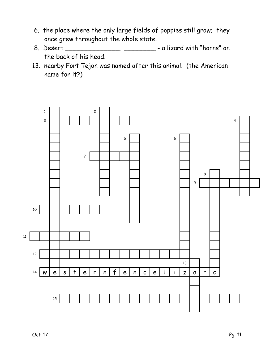- 6. the place where the only large fields of poppies still grow; they once grew throughout the whole state.
- 8. Desert \_\_\_\_\_\_\_\_\_\_\_\_\_\_\_\_\_\_\_\_\_\_\_\_\_\_\_\_\_\_\_\_ a lizard with "horns" on the back of his head.
- 13. nearby Fort Tejon was named after this animal. (the American name for it?)

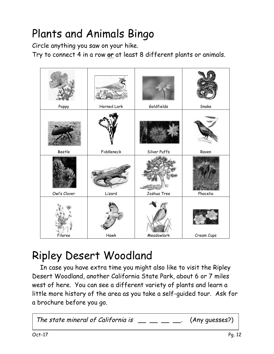# Plants and Animals Bingo

Circle anything you saw on your hike.

Try to connect 4 in a row **or** at least 8 different plants or animals.



### Ripley Desert Woodland

In case you have extra time you might also like to visit the Ripley Desert Woodland, another California State Park, about 6 or 7 miles west of here. You can see a different variety of plants and learn a little more history of the area as you take a self-guided tour. Ask for a brochure before you go.

The state mineral of California is  $\Box \_\_\_\_\_\_\_\_\_\_$ . (Any quesses?)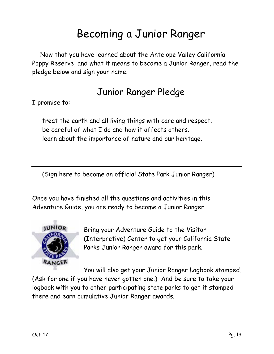### Becoming a Junior Ranger

Now that you have learned about the Antelope Valley California Poppy Reserve, and what it means to become a Junior Ranger, read the pledge below and sign your name.

### Junior Ranger Pledge

I promise to:

treat the earth and all living things with care and respect. be careful of what I do and how it affects others. learn about the importance of nature and our heritage.

(Sign here to become an official State Park Junior Ranger)

Once you have finished all the questions and activities in this Adventure Guide, you are ready to become a Junior Ranger.



Bring your Adventure Guide to the Visitor (Interpretive) Center to get your California State Parks Junior Ranger award for this park.

You will also get your Junior Ranger Logbook stamped. (Ask for one if you have never gotten one.) And be sure to take your logbook with you to other participating state parks to get it stamped there and earn cumulative Junior Ranger awards.